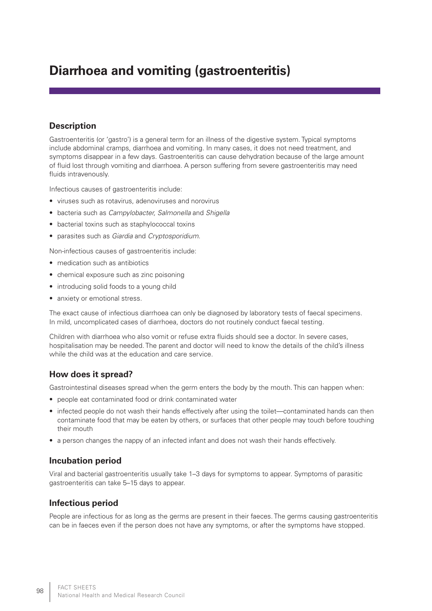# **Diarrhoea and vomiting (gastroenteritis)**

## **Description**

Gastroenteritis (or 'gastro') is a general term for an illness of the digestive system. Typical symptoms include abdominal cramps, diarrhoea and vomiting. In many cases, it does not need treatment, and symptoms disappear in a few days. Gastroenteritis can cause dehydration because of the large amount of fluid lost through vomiting and diarrhoea. A person suffering from severe gastroenteritis may need fluids intravenously.

Infectious causes of gastroenteritis include:

- viruses such as rotavirus, adenoviruses and norovirus
- • bacteria such as *Campylobacter, Salmonella* and *Shigella*
- bacterial toxins such as staphylococcal toxins
- • parasites such as *Giardia* and *Cryptosporidium*.

Non-infectious causes of gastroenteritis include:

- medication such as antibiotics
- chemical exposure such as zinc poisoning
- introducing solid foods to a young child
- anxiety or emotional stress.

The exact cause of infectious diarrhoea can only be diagnosed by laboratory tests of faecal specimens. In mild, uncomplicated cases of diarrhoea, doctors do not routinely conduct faecal testing.

Children with diarrhoea who also vomit or refuse extra fluids should see a doctor. In severe cases, hospitalisation may be needed. The parent and doctor will need to know the details of the child's illness while the child was at the education and care service.

# **How does it spread?**

Gastrointestinal diseases spread when the germ enters the body by the mouth. This can happen when:

- people eat contaminated food or drink contaminated water
- infected people do not wash their hands effectively after using the toilet—contaminated hands can then contaminate food that may be eaten by others, or surfaces that other people may touch before touching their mouth
- a person changes the nappy of an infected infant and does not wash their hands effectively.

## **Incubation period**

Viral and bacterial gastroenteritis usually take 1–3 days for symptoms to appear. Symptoms of parasitic gastroenteritis can take 5–15 days to appear.

## **Infectious period**

People are infectious for as long as the germs are present in their faeces. The germs causing gastroenteritis can be in faeces even if the person does not have any symptoms, or after the symptoms have stopped.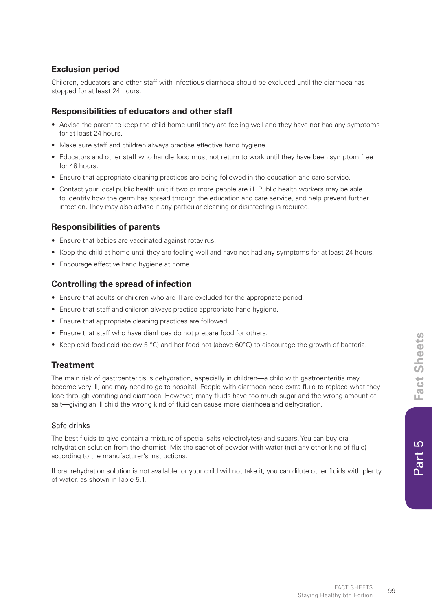# **Exclusion period**

Children, educators and other staff with infectious diarrhoea should be excluded until the diarrhoea has stopped for at least 24 hours.

## **Responsibilities of educators and other staff**

- Advise the parent to keep the child home until they are feeling well and they have not had any symptoms for at least 24 hours.
- Make sure staff and children always practise effective hand hygiene.
- Educators and other staff who handle food must not return to work until they have been symptom free for 48 hours.
- • Ensure that appropriate cleaning practices are being followed in the education and care service.
- Contact your local public health unit if two or more people are ill. Public health workers may be able to identify how the germ has spread through the education and care service, and help prevent further infection. They may also advise if any particular cleaning or disinfecting is required.

## **Responsibilities of parents**

- Ensure that babies are vaccinated against rotavirus.
- Keep the child at home until they are feeling well and have not had any symptoms for at least 24 hours.
- Encourage effective hand hygiene at home.

## **Controlling the spread of infection**

- Ensure that adults or children who are ill are excluded for the appropriate period.
- Ensure that staff and children always practise appropriate hand hygiene.
- Ensure that appropriate cleaning practices are followed.
- Ensure that staff who have diarrhoea do not prepare food for others.
- Keep cold food cold (below 5 °C) and hot food hot (above 60°C) to discourage the growth of bacteria.

## **Treatment**

The main risk of gastroenteritis is dehydration, especially in children—a child with gastroenteritis may become very ill, and may need to go to hospital. People with diarrhoea need extra fluid to replace what they lose through vomiting and diarrhoea. However, many fluids have too much sugar and the wrong amount of salt—giving an ill child the wrong kind of fluid can cause more diarrhoea and dehydration.

#### Safe drinks

The best fluids to give contain a mixture of special salts (electrolytes) and sugars. You can buy oral rehydration solution from the chemist. Mix the sachet of powder with water (not any other kind of fluid) according to the manufacturer's instructions.

If oral rehydration solution is not available, or your child will not take it, you can dilute other fluids with plenty of water, as shown in Table 5.1.

<u>လ</u>